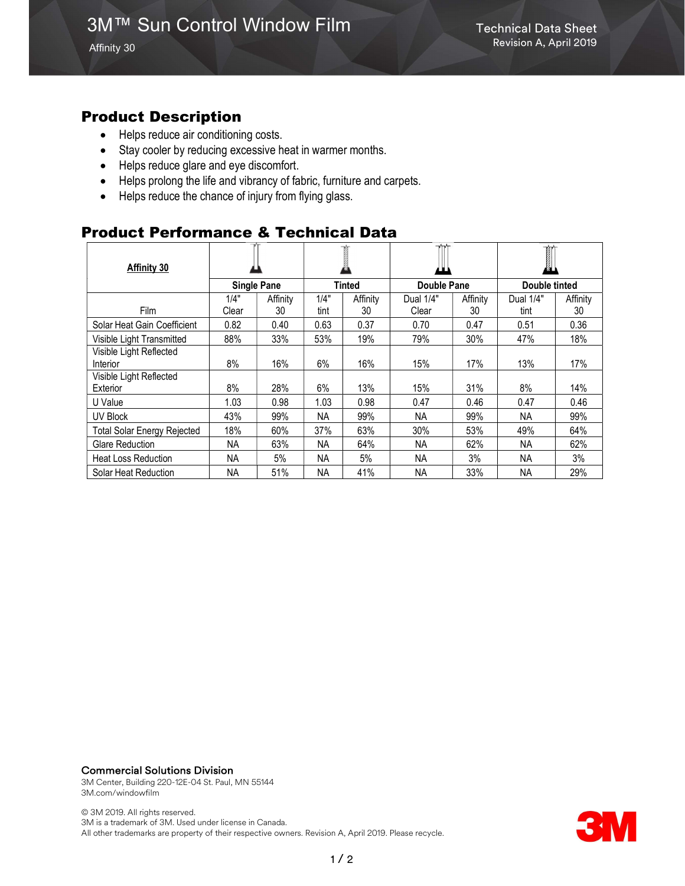Affinity 30

### Product Description

- Helps reduce air conditioning costs.
- Stay cooler by reducing excessive heat in warmer months.
- Helps reduce glare and eye discomfort.
- Helps prolong the life and vibrancy of fabric, furniture and carpets.
- Helps reduce the chance of injury from flying glass.

# Product Performance & Technical Data

| Affinity 30                        |                    |          |               |          |             |          | Ø.            |          |
|------------------------------------|--------------------|----------|---------------|----------|-------------|----------|---------------|----------|
|                                    | <b>Single Pane</b> |          | <b>Tinted</b> |          | Double Pane |          | Double tinted |          |
|                                    | 1/4"               | Affinity | 1/4"          | Affinity | Dual 1/4"   | Affinity | Dual 1/4"     | Affinity |
| <b>Film</b>                        | Clear              | 30       | tint          | 30       | Clear       | 30       | tint          | 30       |
| Solar Heat Gain Coefficient        | 0.82               | 0.40     | 0.63          | 0.37     | 0.70        | 0.47     | 0.51          | 0.36     |
| Visible Light Transmitted          | 88%                | 33%      | 53%           | 19%      | 79%         | 30%      | 47%           | 18%      |
| Visible Light Reflected            |                    |          |               |          |             |          |               |          |
| Interior                           | 8%                 | 16%      | 6%            | 16%      | 15%         | 17%      | 13%           | 17%      |
| Visible Light Reflected            |                    |          |               |          |             |          |               |          |
| Exterior                           | 8%                 | 28%      | 6%            | 13%      | 15%         | 31%      | 8%            | 14%      |
| U Value                            | 1.03               | 0.98     | 1.03          | 0.98     | 0.47        | 0.46     | 0.47          | 0.46     |
| UV Block                           | 43%                | 99%      | NА            | 99%      | ΝA          | 99%      | NA            | 99%      |
| <b>Total Solar Energy Rejected</b> | 18%                | 60%      | 37%           | 63%      | 30%         | 53%      | 49%           | 64%      |
| <b>Glare Reduction</b>             | NA.                | 63%      | NA.           | 64%      | NA.         | 62%      | NA.           | 62%      |
| <b>Heat Loss Reduction</b>         | <b>NA</b>          | 5%       | <b>NA</b>     | 5%       | <b>NA</b>   | 3%       | <b>NA</b>     | 3%       |
| Solar Heat Reduction               | ΝA                 | 51%      | NА            | 41%      | ΝA          | 33%      | NA.           | 29%      |

#### Commercial Solutions Division

3M Center, Building 220-12E-04 St. Paul, MN 55144 3M.com/windowfilm

© 3M 2019. All rights reserved. 3M is a trademark of 3M. Used under license in Canada. All other trademarks are property of their respective owners. Revision A, April 2019. Please recycle.